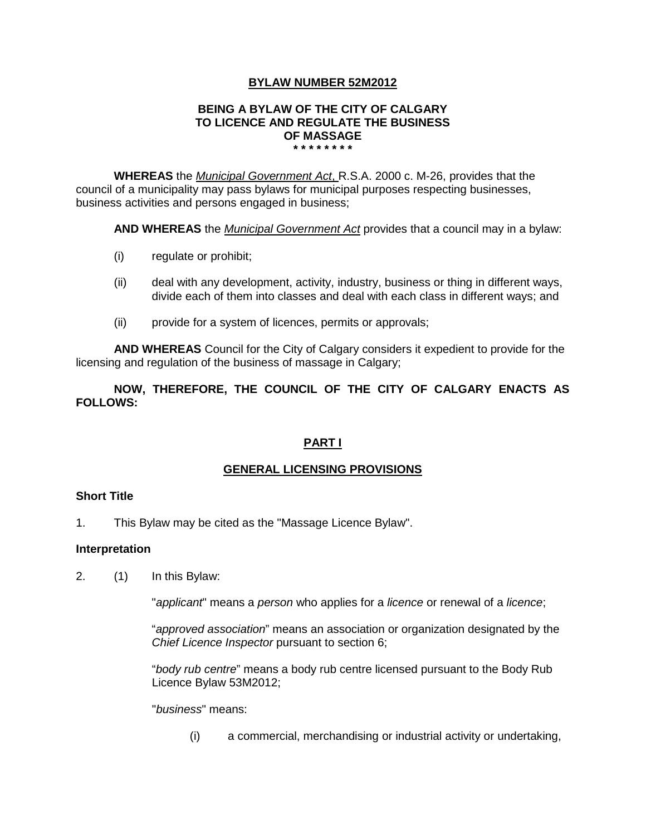## **BYLAW NUMBER 52M2012**

#### **BEING A BYLAW OF THE CITY OF CALGARY TO LICENCE AND REGULATE THE BUSINESS OF MASSAGE \* \* \* \* \* \* \* \***

**WHEREAS** the *Municipal Government Act*, R.S.A. 2000 c. M-26, provides that the council of a municipality may pass bylaws for municipal purposes respecting businesses, business activities and persons engaged in business;

**AND WHEREAS** the *Municipal Government Act* provides that a council may in a bylaw:

- (i) regulate or prohibit;
- (ii) deal with any development, activity, industry, business or thing in different ways, divide each of them into classes and deal with each class in different ways; and
- (ii) provide for a system of licences, permits or approvals;

**AND WHEREAS** Council for the City of Calgary considers it expedient to provide for the licensing and regulation of the business of massage in Calgary;

**NOW, THEREFORE, THE COUNCIL OF THE CITY OF CALGARY ENACTS AS FOLLOWS:**

## **PART I**

## **GENERAL LICENSING PROVISIONS**

## **Short Title**

1. This Bylaw may be cited as the "Massage Licence Bylaw".

### **Interpretation**

2. (1) In this Bylaw:

"*applicant*" means a *person* who applies for a *licence* or renewal of a *licence*;

"*approved association*" means an association or organization designated by the *Chief Licence Inspector* pursuant to section 6;

"*body rub centre*" means a body rub centre licensed pursuant to the Body Rub Licence Bylaw 53M2012;

"*business*" means:

(i) a commercial, merchandising or industrial activity or undertaking,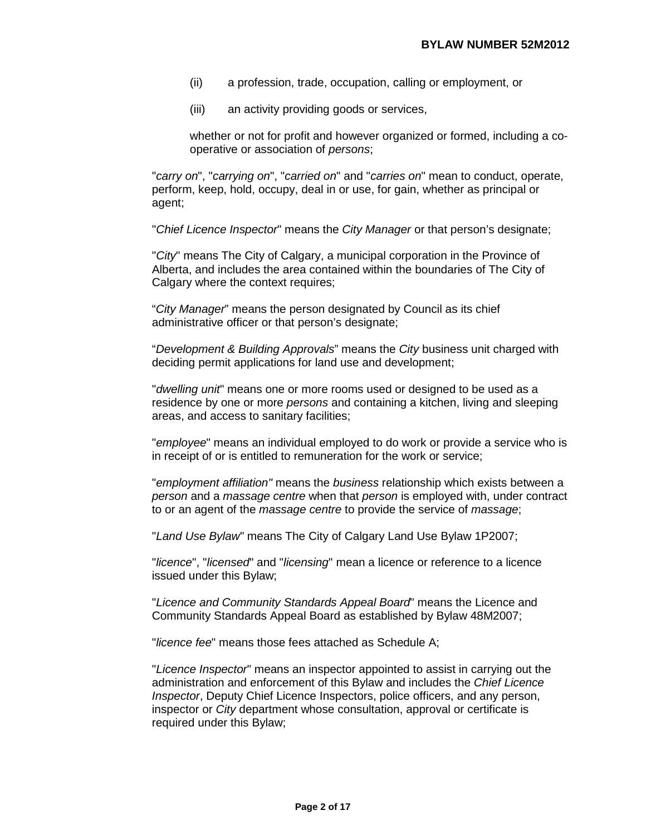- (ii) a profession, trade, occupation, calling or employment, or
- (iii) an activity providing goods or services,

whether or not for profit and however organized or formed, including a cooperative or association of *persons*;

"*carry on*", "*carrying on*", "*carried on*" and "*carries on*" mean to conduct, operate, perform, keep, hold, occupy, deal in or use, for gain, whether as principal or agent;

"*Chief Licence Inspector*" means the *City Manager* or that person's designate;

"*City*" means The City of Calgary, a municipal corporation in the Province of Alberta, and includes the area contained within the boundaries of The City of Calgary where the context requires;

"*City Manager*" means the person designated by Council as its chief administrative officer or that person's designate;

"*Development & Building Approvals*" means the *City* business unit charged with deciding permit applications for land use and development;

"*dwelling unit*" means one or more rooms used or designed to be used as a residence by one or more *persons* and containing a kitchen, living and sleeping areas, and access to sanitary facilities;

"*employee*" means an individual employed to do work or provide a service who is in receipt of or is entitled to remuneration for the work or service;

"*employment affiliation"* means the *business* relationship which exists between a *person* and a *massage centre* when that *person* is employed with, under contract to or an agent of the *massage centre* to provide the service of *massage*;

"*Land Use Bylaw*" means The City of Calgary Land Use Bylaw 1P2007;

"*licence*", "*licensed*" and "*licensing*" mean a licence or reference to a licence issued under this Bylaw;

"*Licence and Community Standards Appeal Board*" means the Licence and Community Standards Appeal Board as established by Bylaw 48M2007;

"*licence fee*" means those fees attached as Schedule A;

"*Licence Inspector*" means an inspector appointed to assist in carrying out the administration and enforcement of this Bylaw and includes the *Chief Licence Inspector*, Deputy Chief Licence Inspectors, police officers, and any person, inspector or *City* department whose consultation, approval or certificate is required under this Bylaw;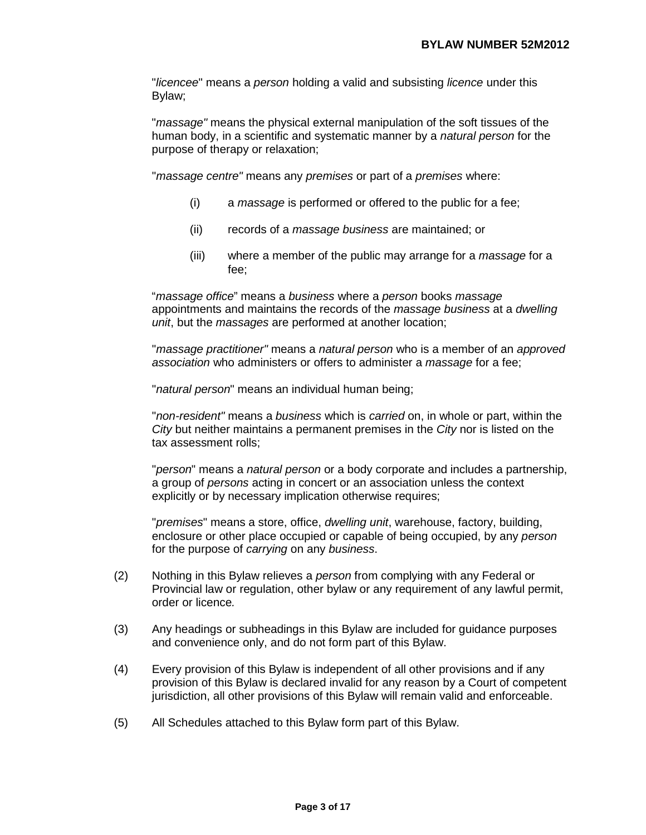"*licencee*" means a *person* holding a valid and subsisting *licence* under this Bylaw;

"*massage"* means the physical external manipulation of the soft tissues of the human body, in a scientific and systematic manner by a *natural person* for the purpose of therapy or relaxation;

"*massage centre"* means any *premises* or part of a *premises* where:

- (i) a *massage* is performed or offered to the public for a fee;
- (ii) records of a *massage business* are maintained; or
- (iii) where a member of the public may arrange for a *massage* for a fee;

"*massage office*" means a *business* where a *person* books *massage* appointments and maintains the records of the *massage business* at a *dwelling unit*, but the *massages* are performed at another location;

"*massage practitioner"* means a *natural person* who is a member of an *approved association* who administers or offers to administer a *massage* for a fee;

"*natural person*" means an individual human being;

"*non-resident"* means a *business* which is *carried* on, in whole or part, within the *City* but neither maintains a permanent premises in the *City* nor is listed on the tax assessment rolls;

"*person*" means a *natural person* or a body corporate and includes a partnership, a group of *persons* acting in concert or an association unless the context explicitly or by necessary implication otherwise requires;

"*premises*" means a store, office, *dwelling unit*, warehouse, factory, building, enclosure or other place occupied or capable of being occupied, by any *person*  for the purpose of *carrying* on any *business*.

- (2) Nothing in this Bylaw relieves a *person* from complying with any Federal or Provincial law or regulation, other bylaw or any requirement of any lawful permit, order or licence*.*
- (3) Any headings or subheadings in this Bylaw are included for guidance purposes and convenience only, and do not form part of this Bylaw.
- (4) Every provision of this Bylaw is independent of all other provisions and if any provision of this Bylaw is declared invalid for any reason by a Court of competent jurisdiction, all other provisions of this Bylaw will remain valid and enforceable.
- (5) All Schedules attached to this Bylaw form part of this Bylaw.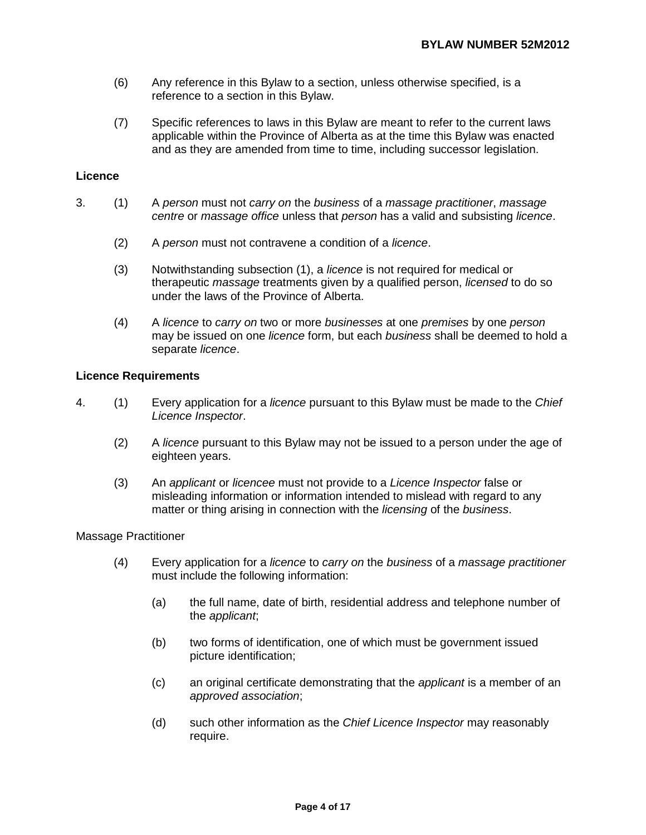- (6) Any reference in this Bylaw to a section, unless otherwise specified, is a reference to a section in this Bylaw.
- (7) Specific references to laws in this Bylaw are meant to refer to the current laws applicable within the Province of Alberta as at the time this Bylaw was enacted and as they are amended from time to time, including successor legislation.

### **Licence**

- 3. (1) A *person* must not *carry on* the *business* of a *massage practitioner*, *massage centre* or *massage office* unless that *person* has a valid and subsisting *licence*.
	- (2) A *person* must not contravene a condition of a *licence*.
	- (3) Notwithstanding subsection (1), a *licence* is not required for medical or therapeutic *massage* treatments given by a qualified person, *licensed* to do so under the laws of the Province of Alberta.
	- (4) A *licence* to *carry on* two or more *businesses* at one *premises* by one *person*  may be issued on one *licence* form, but each *business* shall be deemed to hold a separate *licence*.

### **Licence Requirements**

- 4. (1) Every application for a *licence* pursuant to this Bylaw must be made to the *Chief Licence Inspector*.
	- (2) A *licence* pursuant to this Bylaw may not be issued to a person under the age of eighteen years.
	- (3) An *applicant* or *licencee* must not provide to a *Licence Inspector* false or misleading information or information intended to mislead with regard to any matter or thing arising in connection with the *licensing* of the *business*.

### Massage Practitioner

- (4) Every application for a *licence* to *carry on* the *business* of a *massage practitioner* must include the following information:
	- (a) the full name, date of birth, residential address and telephone number of the *applicant*;
	- (b) two forms of identification, one of which must be government issued picture identification;
	- (c) an original certificate demonstrating that the *applicant* is a member of an *approved association*;
	- (d) such other information as the *Chief Licence Inspector* may reasonably require.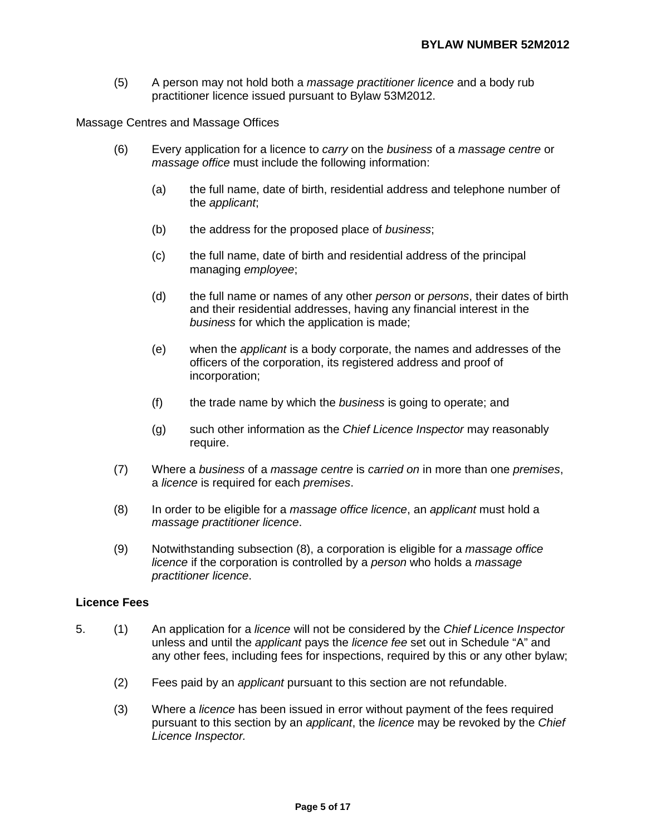(5) A person may not hold both a *massage practitioner licence* and a body rub practitioner licence issued pursuant to Bylaw 53M2012.

Massage Centres and Massage Offices

- (6) Every application for a licence to *carry* on the *business* of a *massage centre* or *massage office* must include the following information:
	- (a) the full name, date of birth, residential address and telephone number of the *applicant*;
	- (b) the address for the proposed place of *business*;
	- (c) the full name, date of birth and residential address of the principal managing *employee*;
	- (d) the full name or names of any other *person* or *persons*, their dates of birth and their residential addresses, having any financial interest in the *business* for which the application is made;
	- (e) when the *applicant* is a body corporate, the names and addresses of the officers of the corporation, its registered address and proof of incorporation;
	- (f) the trade name by which the *business* is going to operate; and
	- (g) such other information as the *Chief Licence Inspector* may reasonably require.
- (7) Where a *business* of a *massage centre* is *carried on* in more than one *premises*, a *licence* is required for each *premises*.
- (8) In order to be eligible for a *massage office licence*, an *applicant* must hold a *massage practitioner licence*.
- (9) Notwithstanding subsection (8), a corporation is eligible for a *massage office licence* if the corporation is controlled by a *person* who holds a *massage practitioner licence*.

### **Licence Fees**

- 5. (1) An application for a *licence* will not be considered by the *Chief Licence Inspector* unless and until the *applicant* pays the *licence fee* set out in Schedule "A" and any other fees, including fees for inspections, required by this or any other bylaw;
	- (2) Fees paid by an *applicant* pursuant to this section are not refundable.
	- (3) Where a *licence* has been issued in error without payment of the fees required pursuant to this section by an *applicant*, the *licence* may be revoked by the *Chief Licence Inspector.*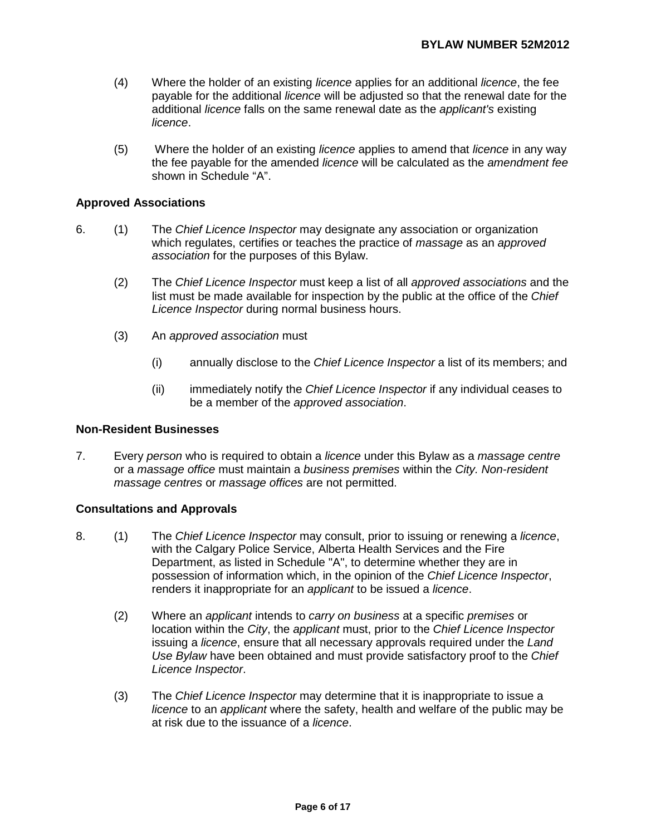- (4) Where the holder of an existing *licence* applies for an additional *licence*, the fee payable for the additional *licence* will be adjusted so that the renewal date for the additional *licence* falls on the same renewal date as the *applicant's* existing *licence*.
- (5) Where the holder of an existing *licence* applies to amend that *licence* in any way the fee payable for the amended *licence* will be calculated as the *amendment fee*  shown in Schedule "A".

## **Approved Associations**

- 6. (1) The *Chief Licence Inspector* may designate any association or organization which regulates, certifies or teaches the practice of *massage* as an *approved association* for the purposes of this Bylaw.
	- (2) The *Chief Licence Inspector* must keep a list of all *approved associations* and the list must be made available for inspection by the public at the office of the *Chief Licence Inspector* during normal business hours.
	- (3) An *approved association* must
		- (i) annually disclose to the *Chief Licence Inspector* a list of its members; and
		- (ii) immediately notify the *Chief Licence Inspector* if any individual ceases to be a member of the *approved association*.

### **Non-Resident Businesses**

7. Every *person* who is required to obtain a *licence* under this Bylaw as a *massage centre*  or a *massage office* must maintain a *business premises* within the *City. Non-resident massage centres* or *massage offices* are not permitted.

### **Consultations and Approvals**

- 8. (1) The *Chief Licence Inspector* may consult, prior to issuing or renewing a *licence*, with the Calgary Police Service, Alberta Health Services and the Fire Department, as listed in Schedule "A", to determine whether they are in possession of information which, in the opinion of the *Chief Licence Inspector*, renders it inappropriate for an *applicant* to be issued a *licence*.
	- (2) Where an *applicant* intends to *carry on business* at a specific *premises* or location within the *City*, the *applicant* must, prior to the *Chief Licence Inspector*  issuing a *licence*, ensure that all necessary approvals required under the *Land Use Bylaw* have been obtained and must provide satisfactory proof to the *Chief Licence Inspector*.
	- (3) The *Chief Licence Inspector* may determine that it is inappropriate to issue a *licence* to an *applicant* where the safety, health and welfare of the public may be at risk due to the issuance of a *licence*.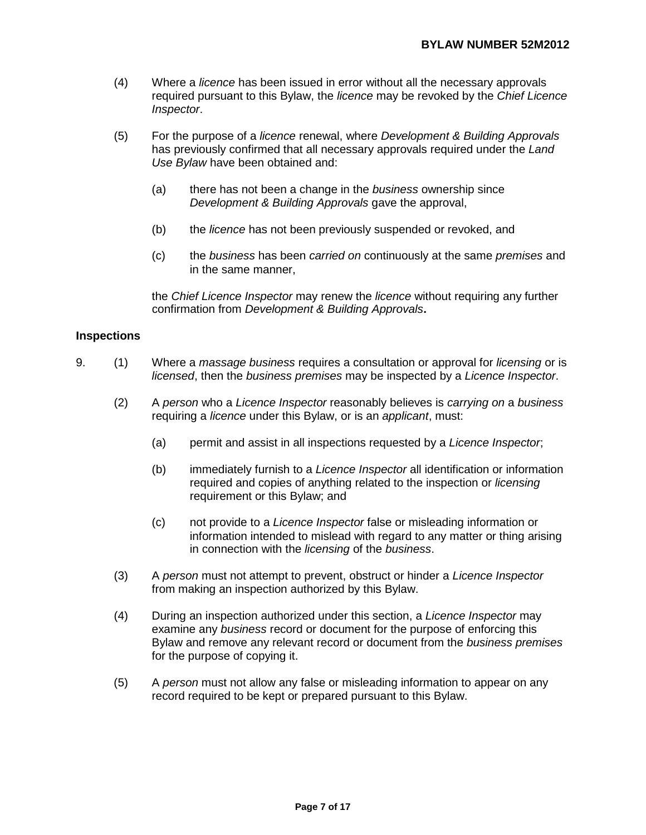- (4) Where a *licence* has been issued in error without all the necessary approvals required pursuant to this Bylaw, the *licence* may be revoked by the *Chief Licence Inspector*.
- (5) For the purpose of a *licence* renewal, where *Development & Building Approvals*  has previously confirmed that all necessary approvals required under the *Land Use Bylaw* have been obtained and:
	- (a) there has not been a change in the *business* ownership since *Development & Building Approvals* gave the approval,
	- (b) the *licence* has not been previously suspended or revoked, and
	- (c) the *business* has been *carried on* continuously at the same *premises* and in the same manner,

the *Chief Licence Inspector* may renew the *licence* without requiring any further confirmation from *Development & Building Approvals***.** 

### **Inspections**

- 9. (1) Where a *massage business* requires a consultation or approval for *licensing* or is *licensed*, then the *business premises* may be inspected by a *Licence Inspector*.
	- (2) A *person* who a *Licence Inspector* reasonably believes is *carrying on* a *business*  requiring a *licence* under this Bylaw, or is an *applicant*, must:
		- (a) permit and assist in all inspections requested by a *Licence Inspector*;
		- (b) immediately furnish to a *Licence Inspector* all identification or information required and copies of anything related to the inspection or *licensing*  requirement or this Bylaw; and
		- (c) not provide to a *Licence Inspector* false or misleading information or information intended to mislead with regard to any matter or thing arising in connection with the *licensing* of the *business*.
	- (3) A *person* must not attempt to prevent, obstruct or hinder a *Licence Inspector*  from making an inspection authorized by this Bylaw.
	- (4) During an inspection authorized under this section, a *Licence Inspector* may examine any *business* record or document for the purpose of enforcing this Bylaw and remove any relevant record or document from the *business premises*  for the purpose of copying it.
	- (5) A *person* must not allow any false or misleading information to appear on any record required to be kept or prepared pursuant to this Bylaw.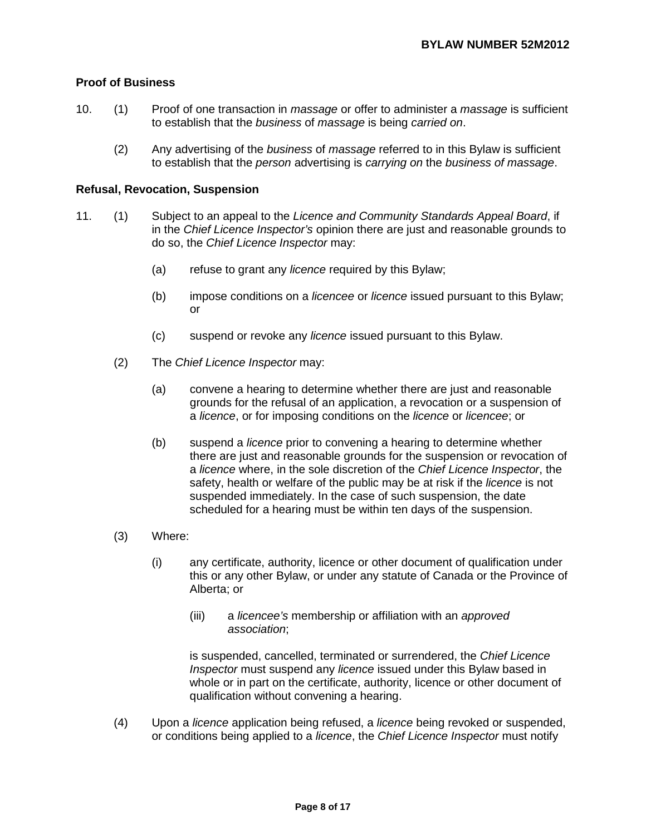## **Proof of Business**

- 10. (1) Proof of one transaction in *massage* or offer to administer a *massage* is sufficient to establish that the *business* of *massage* is being *carried on*.
	- (2) Any advertising of the *business* of *massage* referred to in this Bylaw is sufficient to establish that the *person* advertising is *carrying on* the *business of massage*.

#### **Refusal, Revocation, Suspension**

- 11. (1) Subject to an appeal to the *Licence and Community Standards Appeal Board*, if in the *Chief Licence Inspector's* opinion there are just and reasonable grounds to do so, the *Chief Licence Inspector* may:
	- (a) refuse to grant any *licence* required by this Bylaw;
	- (b) impose conditions on a *licencee* or *licence* issued pursuant to this Bylaw; or
	- (c) suspend or revoke any *licence* issued pursuant to this Bylaw.
	- (2) The *Chief Licence Inspector* may:
		- (a) convene a hearing to determine whether there are just and reasonable grounds for the refusal of an application, a revocation or a suspension of a *licence*, or for imposing conditions on the *licence* or *licencee*; or
		- (b) suspend a *licence* prior to convening a hearing to determine whether there are just and reasonable grounds for the suspension or revocation of a *licence* where, in the sole discretion of the *Chief Licence Inspector*, the safety, health or welfare of the public may be at risk if the *licence* is not suspended immediately. In the case of such suspension, the date scheduled for a hearing must be within ten days of the suspension.
	- (3) Where:
		- (i) any certificate, authority, licence or other document of qualification under this or any other Bylaw, or under any statute of Canada or the Province of Alberta; or
			- (iii) a *licencee's* membership or affiliation with an *approved association*;

is suspended, cancelled, terminated or surrendered, the *Chief Licence Inspector* must suspend any *licence* issued under this Bylaw based in whole or in part on the certificate, authority, licence or other document of qualification without convening a hearing.

(4) Upon a *licence* application being refused, a *licence* being revoked or suspended, or conditions being applied to a *licence*, the *Chief Licence Inspector* must notify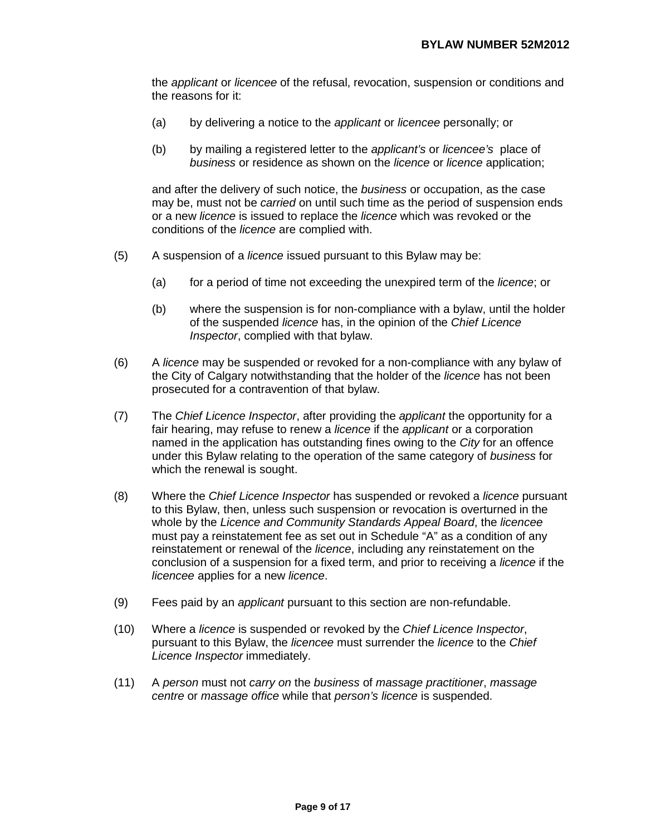the *applicant* or *licencee* of the refusal, revocation, suspension or conditions and the reasons for it:

- (a) by delivering a notice to the *applicant* or *licencee* personally; or
- (b) by mailing a registered letter to the *applicant's* or *licencee's* place of *business* or residence as shown on the *licence* or *licence* application;

and after the delivery of such notice, the *business* or occupation, as the case may be, must not be *carried* on until such time as the period of suspension ends or a new *licence* is issued to replace the *licence* which was revoked or the conditions of the *licence* are complied with.

- (5) A suspension of a *licence* issued pursuant to this Bylaw may be:
	- (a) for a period of time not exceeding the unexpired term of the *licence*; or
	- (b) where the suspension is for non-compliance with a bylaw, until the holder of the suspended *licence* has, in the opinion of the *Chief Licence Inspector*, complied with that bylaw.
- (6) A *licence* may be suspended or revoked for a non-compliance with any bylaw of the City of Calgary notwithstanding that the holder of the *licence* has not been prosecuted for a contravention of that bylaw.
- (7) The *Chief Licence Inspector*, after providing the *applicant* the opportunity for a fair hearing, may refuse to renew a *licence* if the *applicant* or a corporation named in the application has outstanding fines owing to the *City* for an offence under this Bylaw relating to the operation of the same category of *business* for which the renewal is sought.
- (8) Where the *Chief Licence Inspector* has suspended or revoked a *licence* pursuant to this Bylaw, then, unless such suspension or revocation is overturned in the whole by the *Licence and Community Standards Appeal Board*, the *licencee*  must pay a reinstatement fee as set out in Schedule "A" as a condition of any reinstatement or renewal of the *licence*, including any reinstatement on the conclusion of a suspension for a fixed term, and prior to receiving a *licence* if the *licencee* applies for a new *licence*.
- (9) Fees paid by an *applicant* pursuant to this section are non-refundable.
- (10) Where a *licence* is suspended or revoked by the *Chief Licence Inspector*, pursuant to this Bylaw, the *licencee* must surrender the *licence* to the *Chief Licence Inspector* immediately.
- (11) A *person* must not *carry on* the *business* of *massage practitioner*, *massage centre* or *massage office* while that *person's licence* is suspended.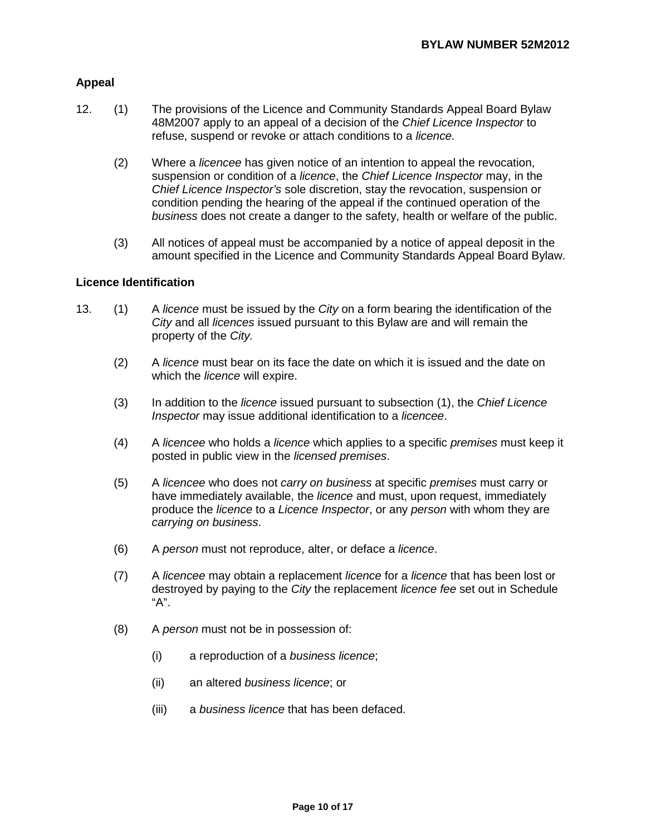## **Appeal**

- 12. (1) The provisions of the Licence and Community Standards Appeal Board Bylaw 48M2007 apply to an appeal of a decision of the *Chief Licence Inspector* to refuse, suspend or revoke or attach conditions to a *licence.* 
	- (2) Where a *licencee* has given notice of an intention to appeal the revocation, suspension or condition of a *licence*, the *Chief Licence Inspector* may, in the *Chief Licence Inspector's* sole discretion, stay the revocation, suspension or condition pending the hearing of the appeal if the continued operation of the *business* does not create a danger to the safety, health or welfare of the public.
	- (3) All notices of appeal must be accompanied by a notice of appeal deposit in the amount specified in the Licence and Community Standards Appeal Board Bylaw.

### **Licence Identification**

- 13. (1) A *licence* must be issued by the *City* on a form bearing the identification of the *City* and all *licences* issued pursuant to this Bylaw are and will remain the property of the *City.* 
	- (2) A *licence* must bear on its face the date on which it is issued and the date on which the *licence* will expire.
	- (3) In addition to the *licence* issued pursuant to subsection (1), the *Chief Licence Inspector* may issue additional identification to a *licencee*.
	- (4) A *licencee* who holds a *licence* which applies to a specific *premises* must keep it posted in public view in the *licensed premises*.
	- (5) A *licencee* who does not *carry on business* at specific *premises* must carry or have immediately available, the *licence* and must, upon request, immediately produce the *licence* to a *Licence Inspector*, or any *person* with whom they are *carrying on business*.
	- (6) A *person* must not reproduce, alter, or deface a *licence*.
	- (7) A *licencee* may obtain a replacement *licence* for a *licence* that has been lost or destroyed by paying to the *City* the replacement *licence fee* set out in Schedule "A".
	- (8) A *person* must not be in possession of:
		- (i) a reproduction of a *business licence*;
		- (ii) an altered *business licence*; or
		- (iii) a *business licence* that has been defaced.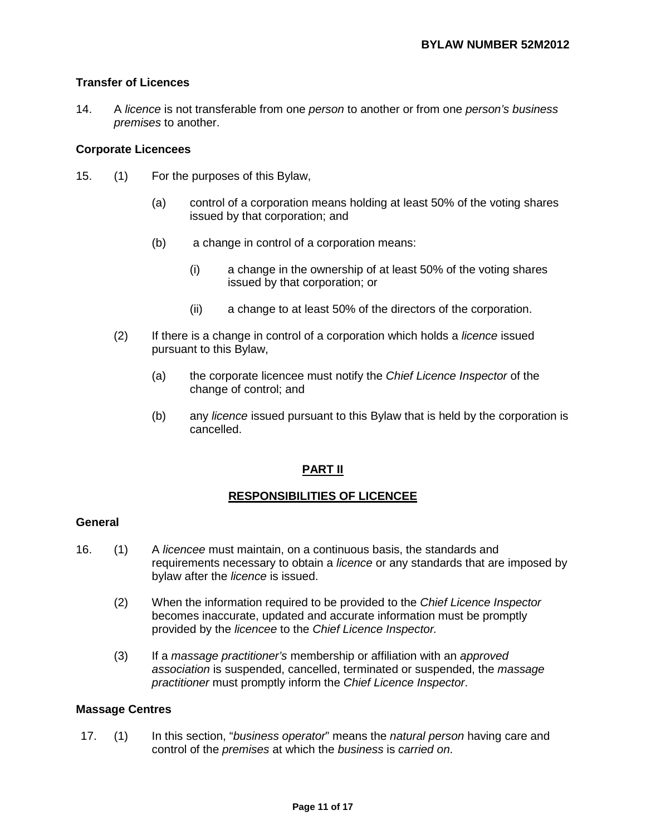## **Transfer of Licences**

14. A *licence* is not transferable from one *person* to another or from one *person's business premises* to another.

### **Corporate Licencees**

- 15. (1) For the purposes of this Bylaw,
	- (a) control of a corporation means holding at least 50% of the voting shares issued by that corporation; and
	- (b) a change in control of a corporation means:
		- (i) a change in the ownership of at least 50% of the voting shares issued by that corporation; or
		- (ii) a change to at least 50% of the directors of the corporation.
	- (2) If there is a change in control of a corporation which holds a *licence* issued pursuant to this Bylaw,
		- (a) the corporate licencee must notify the *Chief Licence Inspector* of the change of control; and
		- (b) any *licence* issued pursuant to this Bylaw that is held by the corporation is cancelled.

# **PART II**

# **RESPONSIBILITIES OF LICENCEE**

### **General**

- 16. (1) A *licencee* must maintain, on a continuous basis, the standards and requirements necessary to obtain a *licence* or any standards that are imposed by bylaw after the *licence* is issued.
	- (2) When the information required to be provided to the *Chief Licence Inspector*  becomes inaccurate, updated and accurate information must be promptly provided by the *licencee* to the *Chief Licence Inspector.*
	- (3) If a *massage practitioner's* membership or affiliation with an *approved association* is suspended, cancelled, terminated or suspended, the *massage practitioner* must promptly inform the *Chief Licence Inspector*.

### **Massage Centres**

17. (1) In this section, "*business operator*" means the *natural person* having care and control of the *premises* at which the *business* is *carried on*.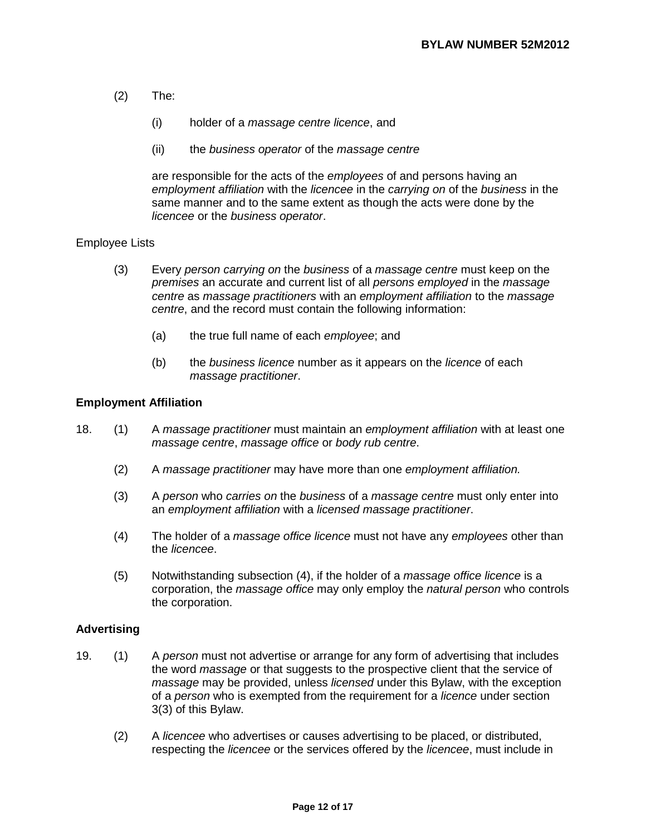- (2) The:
	- (i) holder of a *massage centre licence*, and
	- (ii) the *business operator* of the *massage centre*

are responsible for the acts of the *employees* of and persons having an *employment affiliation* with the *licencee* in the *carrying on* of the *business* in the same manner and to the same extent as though the acts were done by the *licencee* or the *business operator*.

### Employee Lists

- (3) Every *person carrying on* the *business* of a *massage centre* must keep on the *premises* an accurate and current list of all *persons employed* in the *massage centre* as *massage practitioners* with an *employment affiliation* to the *massage centre*, and the record must contain the following information:
	- (a) the true full name of each *employee*; and
	- (b) the *business licence* number as it appears on the *licence* of each *massage practitioner*.

## **Employment Affiliation**

- 18. (1) A *massage practitioner* must maintain an *employment affiliation* with at least one *massage centre*, *massage office* or *body rub centre*.
	- (2) A *massage practitioner* may have more than one *employment affiliation.*
	- (3) A *person* who *carries on* the *business* of a *massage centre* must only enter into an *employment affiliation* with a *licensed massage practitioner*.
	- (4) The holder of a *massage office licence* must not have any *employees* other than the *licencee*.
	- (5) Notwithstanding subsection (4), if the holder of a *massage office licence* is a corporation, the *massage office* may only employ the *natural person* who controls the corporation.

### **Advertising**

- 19. (1) A *person* must not advertise or arrange for any form of advertising that includes the word *massage* or that suggests to the prospective client that the service of *massage* may be provided, unless *licensed* under this Bylaw, with the exception of a *person* who is exempted from the requirement for a *licence* under section 3(3) of this Bylaw.
	- (2) A *licencee* who advertises or causes advertising to be placed, or distributed, respecting the *licencee* or the services offered by the *licencee*, must include in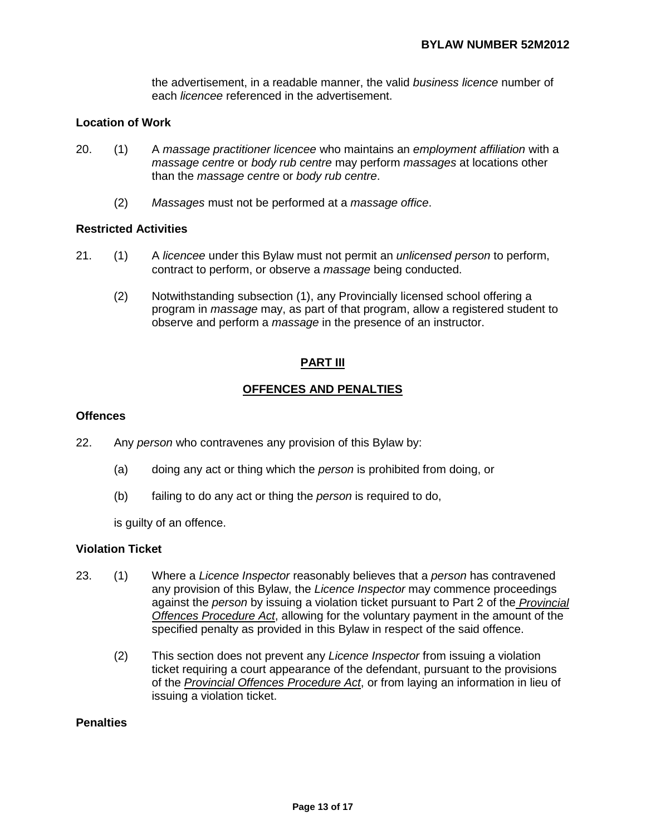the advertisement, in a readable manner, the valid *business licence* number of each *licencee* referenced in the advertisement.

## **Location of Work**

- 20. (1) A *massage practitioner licencee* who maintains an *employment affiliation* with a *massage centre* or *body rub centre* may perform *massages* at locations other than the *massage centre* or *body rub centre*.
	- (2) *Massages* must not be performed at a *massage office*.

### **Restricted Activities**

- 21. (1) A *licencee* under this Bylaw must not permit an *unlicensed person* to perform, contract to perform, or observe a *massage* being conducted.
	- (2) Notwithstanding subsection (1), any Provincially licensed school offering a program in *massage* may, as part of that program, allow a registered student to observe and perform a *massage* in the presence of an instructor.

### **PART III**

## **OFFENCES AND PENALTIES**

#### **Offences**

- 22. Any *person* who contravenes any provision of this Bylaw by:
	- (a) doing any act or thing which the *person* is prohibited from doing, or
	- (b) failing to do any act or thing the *person* is required to do,

is guilty of an offence.

#### **Violation Ticket**

- 23. (1) Where a *Licence Inspector* reasonably believes that a *person* has contravened any provision of this Bylaw, the *Licence Inspector* may commence proceedings against the *person* by issuing a violation ticket pursuant to Part 2 of the *Provincial Offences Procedure Act*, allowing for the voluntary payment in the amount of the specified penalty as provided in this Bylaw in respect of the said offence.
	- (2) This section does not prevent any *Licence Inspector* from issuing a violation ticket requiring a court appearance of the defendant, pursuant to the provisions of the *Provincial Offences Procedure Act*, or from laying an information in lieu of issuing a violation ticket.

## **Penalties**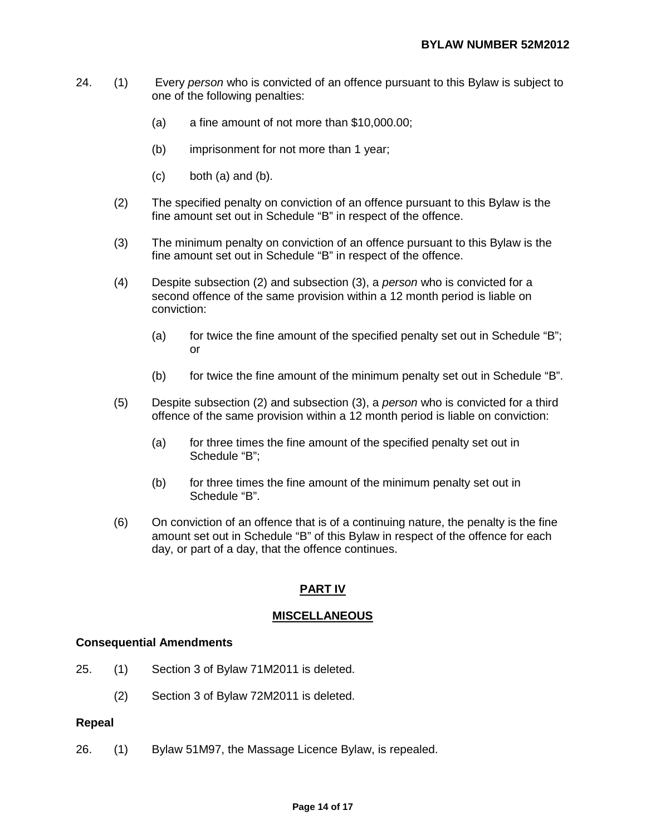- 24. (1) Every *person* who is convicted of an offence pursuant to this Bylaw is subject to one of the following penalties:
	- (a) a fine amount of not more than \$10,000.00;
	- (b) imprisonment for not more than 1 year;
	- $(c)$  both  $(a)$  and  $(b)$ .
	- (2) The specified penalty on conviction of an offence pursuant to this Bylaw is the fine amount set out in Schedule "B" in respect of the offence.
	- (3) The minimum penalty on conviction of an offence pursuant to this Bylaw is the fine amount set out in Schedule "B" in respect of the offence.
	- (4) Despite subsection (2) and subsection (3), a *person* who is convicted for a second offence of the same provision within a 12 month period is liable on conviction:
		- (a) for twice the fine amount of the specified penalty set out in Schedule "B"; or
		- (b) for twice the fine amount of the minimum penalty set out in Schedule "B".
	- (5) Despite subsection (2) and subsection (3), a *person* who is convicted for a third offence of the same provision within a 12 month period is liable on conviction:
		- (a) for three times the fine amount of the specified penalty set out in Schedule "B";
		- (b) for three times the fine amount of the minimum penalty set out in Schedule "B".
	- (6) On conviction of an offence that is of a continuing nature, the penalty is the fine amount set out in Schedule "B" of this Bylaw in respect of the offence for each day, or part of a day, that the offence continues.

## **PART IV**

### **MISCELLANEOUS**

### **Consequential Amendments**

- 25. (1) Section 3 of Bylaw 71M2011 is deleted.
	- (2) Section 3 of Bylaw 72M2011 is deleted.

#### **Repeal**

26. (1) Bylaw 51M97, the Massage Licence Bylaw, is repealed.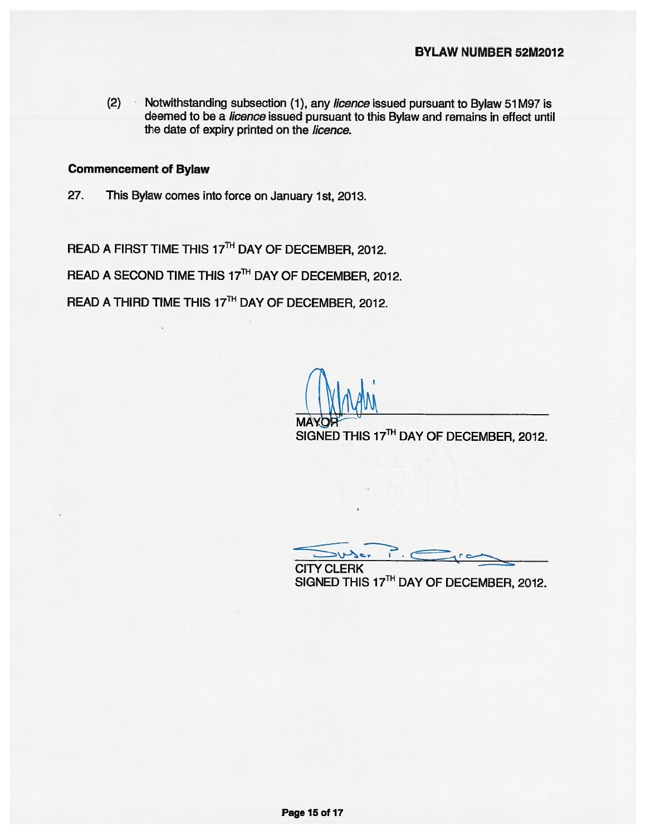$(2)$ Notwithstanding subsection (1), any licence issued pursuant to Bylaw 51M97 is deemed to be a licence issued pursuant to this Bylaw and remains in effect until the date of expiry printed on the licence.

#### **Commencement of Bylaw**

27. This Bylaw comes into force on January 1st, 2013.

READ A FIRST TIME THIS 17TH DAY OF DECEMBER, 2012.

READ A SECOND TIME THIS 17TH DAY OF DECEMBER, 2012.

READ A THIRD TIME THIS 17TH DAY OF DECEMBER, 2012.

SIGNED THIS 17<sup>TH</sup> DAY OF DECEMBER, 2012.

 $\sum_{i=1}^{n}$ suser **CITY CLERK** 

SIGNED THIS 17TH DAY OF DECEMBER, 2012.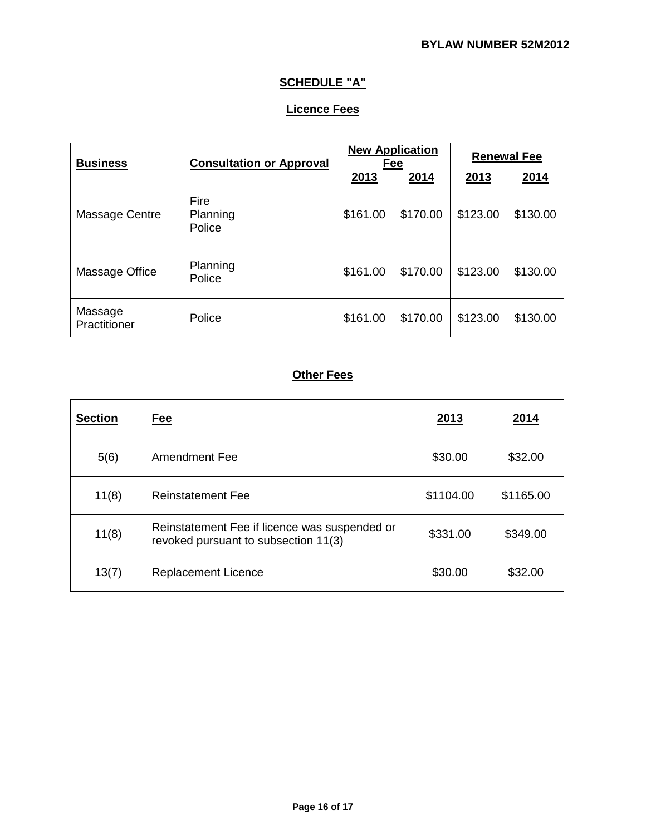# **SCHEDULE "A"**

# **Licence Fees**

| <b>Business</b>         | <b>Consultation or Approval</b> | <b>New Application</b><br>Fee |          | <b>Renewal Fee</b> |          |
|-------------------------|---------------------------------|-------------------------------|----------|--------------------|----------|
|                         |                                 | 2013                          | 2014     | 2013               | 2014     |
| Massage Centre          | Fire<br>Planning<br>Police      | \$161.00                      | \$170.00 | \$123.00           | \$130.00 |
| Massage Office          | Planning<br>Police              | \$161.00                      | \$170.00 | \$123.00           | \$130.00 |
| Massage<br>Practitioner | Police                          | \$161.00                      | \$170.00 | \$123.00           | \$130.00 |

# **Other Fees**

| <b>Section</b> | <u>Fee</u>                                                                            | 2013      | 2014      |
|----------------|---------------------------------------------------------------------------------------|-----------|-----------|
| 5(6)           | Amendment Fee                                                                         | \$30.00   | \$32.00   |
| 11(8)          | <b>Reinstatement Fee</b>                                                              | \$1104.00 | \$1165.00 |
| 11(8)          | Reinstatement Fee if licence was suspended or<br>revoked pursuant to subsection 11(3) | \$331.00  | \$349.00  |
| 13(7)          | <b>Replacement Licence</b>                                                            | \$30.00   | \$32.00   |